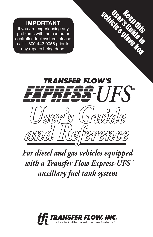### **IMPORTANT**

If you are experiencing any problems with the computer controlled fuel system, please call 1-800-442-0056 prior to<br>any repairs being done. Vehicle Contrary with the computer<br>
user any oblems with the computer<br>
Introlled fuel system, please<br>
ull 1-800-442-0056 prior to<br>
any repairs being done.



*For diesel and gas vehicles equipped with a Transfer Flow Express-UFS* ™ *auxiliary fuel tank system*

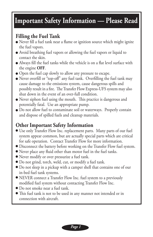# **Important Safety Information — Please Read**

## **Filling the Fuel Tank**

- Never fill a fuel tank near a flame or ignition source which might ignite the fuel vapors.
- Avoid breathing fuel vapors or allowing the fuel vapors or liquid to contact the skin.
- Always fill the fuel tanks while the vehicle is on a flat level surface with the engine OFF the engine **OFF**.
- Open the fuel cap slowly to allow any pressure to escape.
- Never overfill or "top-off" any fuel tank. Overfilling the fuel tank may cause democratic and cause damage to the emissions system, cause dangerous spills and possibly result in a fire. The Transfer Flow Express-UFS system may also shut down in the event of an over-full condition.
- Never siphon fuel using the mouth. This practice is dangerous and potentially fatal. Use an appropriate pump.
- Do not allow fuel to contaminate soil or waterways. Properly contain<br>and dispesse of spilled fuels and elegancy materials and dispose of spilled fuels and cleanup materials.

## **Other Important Safety Information**

- Use only Transfer Flow Inc. replacement parts. Many parts of our fuel system appear common, but are actually special parts which are critical for safe operation. Contact Transfer Flow for more information.
- Disconnect the battery before working on the Transfer Flow fuel system.
- Never place any fluid other than motor fuel in the fuel tanks.
- Never modify or over pressurize a fuel tank.
- Do not grind, torch, weld, cut, or modify a fuel tank.
- Do not sleep in a pickup with a camper shell that contains one of our in-bed fuel tank systems.
- NEVER connect a Transfer Flow Inc. fuel system to a previously modified fuel system without contacting Transfer Flow Inc.
- Do not smoke near a fuel tank.
- This fuel tank is not to be used in any manner not intended or in connection with aircraft.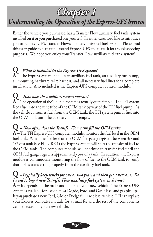# *Chapter 1*

# *Understanding the Operation of the Express-UFS System*

Either the vehicle you purchased has a Transfer Flow auxiliary fuel tank system installed on it or you purchased one yourself. In either case, we'd like to introduce you to Express-UFS, Transfer Flow's auxiliary universal fuel system. Please read this user's guide to better understand Express-UFS and to use it for troubleshooting purposes. We hope you enjoy your Transfer Flow auxiliary fuel tank system!

## **Q –** *What is included in the Express-UFS system?*

**A –** The Express system includes an auxiliary fuel tank, an auxiliary fuel pump, all mounting hardware, wire harness, and all necessary fuel lines for a complete installation. Also included is the Express-UFS computer control module.

## **Q –** *How does the auxiliary system operate?*

**A –** The operation of the TFI fuel system is actually quite simple. The TFI system feeds fuel into the vent tube of the OEM tank by way of the TFI fuel pump. As the vehicle consumes fuel from the OEM tank, the TFI system pumps fuel into the OEM tank until the auxiliary tank is empty.

## **Q –** *How often does the Transfer Flow tank fill the OEM tank?*

**A –** The TFI Express-UFS computer module monitors the fuel level in the OEM fuel tank. When the fuel level on the OEM fuel gauge registers between 3/8 and 1/2 of a tank (see FIGURE 1) the Express system will start the transfer of fuel to the OEM tank. The computer module will continue to transfer fuel until the OEM fuel gauge registers approximately 3/4 of a tank. In addition, the Express module is continuously monitoring the flow of fuel to the OEM tank to verify that fuel is transferring properly from the auxiliary fuel tank.

### **Q –** *I typically keep trucks for one or two years and then get a new one. Do I need to buy a new Transfer Flow auxiliary fuel system each time?*

**A –** It depends on the make and model of your new vehicle. The Express-UFS system is available for use on most Dogde, Ford, and GM diesel and gas pickups. If you purchase a new Ford, GM or Dodge full size diesel vehicle, TFI can replace your Express computer module for a small fee and the rest of the components can be reused on your new vehicle.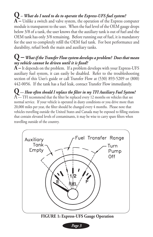# **Q** *– What do I need to do to operate the Express-UFS fuel system?*

**A –** Unlike a switch and valve system, the operation of the Express computer module is transparent to the user. When the fuel level of the OEM gauge drops below 3/8 of a tank, the user knows that the auxiliary tank is out of fuel and the OEM tank has only 3/8 remaining. Before running out of fuel, it is mandatory for the user to completely refill the OEM fuel tank. For best performance and durability, refuel both the main and auxiliary tanks.

### **Q** *– What if the Transfer Flow system develops a problem? Does that mean my vehicle cannot be driven until it is fixed?*

**A –** It depends on the problem. If a problem develops with your Express-UFS auxiliary fuel system, it can easily be disabled. Refer to the troubleshooting section of this User's guide or call Transfer Flow at (530) 893-5209 or (800) 442-0056. If the tank has a fuel leak, contact Transfer Flow immediately.

**Q —** *How often should I replace the filter in my TFI Auxiliary Fuel System?*  $A$  — TFI recommend that the filter be replaced every 12 months on vehicles that see normal service. If your vehicle is operated in dusty conditions or you drive more than 20,000 miles per year, the filter should be changed every 4 months. Please note that vehicles travelling outside the United States and Canada may be exposed to filling stations that contain elevated levels of contaminants, it may be wise to carry spare filters when travelling outside of the country.



*Page 3*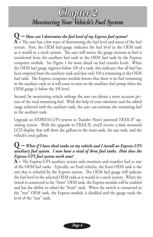# *Chapter 2 Monitoring Your Vehicle's Fuel System*

**Q –** *How can I determine the fuel level of my Express fuel system?* **A –** The user has a few ways of determining the fuel level and status of the fuel system. First, the OEM fuel gauge indicates the fuel level in the OEM tank as it would in a stock system. The user will notice the gauge increase as fuel is transferred from the auxiliary fuel tank to the OEM fuel tank by the Express computer module. See Figure 1 for more detail on fuel transfer levels. When the OEM fuel gauge registers below 3/8 of a tank, this indicates that all fuel has been emptied from the auxiliary tank and that only 3/8 is remaining in the OEM fuel tank. The Express computer module knows that there is no fuel remaining in the auxiliary tank so it will cease to turn on the auxiliary fuel pump when the OEM gauge is below the 3/8 level.

Second, by monitoring vehicle mileage the user can obtain a more accurate picture of the total remaining fuel. With the help of your odometer and the added range achieved with the auxiliary tank, the user can estimate the remaining fuel in the auxiliary tank.

Upgrade an EXPRESS-UFS system to Transfer Flow's patented TRAX-II® operating system. With the upgrade to TRAX-II, you'll receive a dash mounted LCD display that will show the gallons in the main tank, the aux tank, and the vehicle's total gallons.

#### **Q –** *What if I have dual tanks on my vehicle and I install an Express-UFS auxiliary fuel system. I now have a total of three fuel tanks. How does the Express-UFS fuel system work now?*

**A –** The Express-UFS auxiliary system only monitors and transfers fuel to one of the OEM fuel tanks. Typically, on Ford vehicles, the front OEM tank is the one that is refueled by the Express system. The OEM fuel gauge will indicate the fuel level in the selected OEM tank as it would in a stock system. When the switch is connected to the "front" OEM tank, the Express module will be enabled and has the ability to refuel the "front" tank. When the switch is connected to the "rear" OEM tank, the Express module is disabled and the gauge reads the level of the "rear" tank.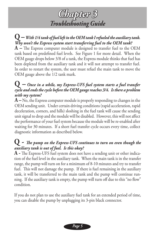# *Chapter 3 Troubleshooting Guide*

**Q –** *With 1/4 tank of fuel left in the OEM tank I refueled the auxiliary tank. Why won't the Express system start transferring fuel to the OEM tank?* **A –** The Express computer module is designed to transfer fuel to the OEM tank based on predefined fuel levels. See Figure 1 for more detail. When the OEM gauge drops below 3/8 of a tank, the Express module thinks that fuel has been depleted from the auxiliary tank and it will not attempt to transfer fuel. In order to restart the system, the user must refuel the main tank to move the OEM gauge above the 1/2 tank mark.

#### **Q –** *Once in a while, my Express-UFS fuel system starts a fuel transfer cycle and ends the cycle before the OEM gauge reaches 3/4. Is there a problem with my system?*

**A –** No, the Express computer module is properly responding to changes in the OEM sending unit. Under certain driving conditions (rapid acceleration, rapid deceleration, corners, and hills) sloshing in the fuel tank will cause the sending unit signal to drop and the module will be disabled. However, this will not affect the performance of your fuel system because the module will be re-enabled after waiting for 30 minutes. If a short fuel transfer cycle occurs every time, collect diagnostic information as described below.

#### **Q -** *The pump on the Express-UFS continues to turn on even though the auxiliary tank is out of fuel. Is this okay?*

**A -** The Express-UFS fuel system does not have a sending unit or other indication of the fuel level in the auxiliary tank. When the main tank is in the transfer range, the pump will turn on for a minimum of 8-10 minutes and try to transfer fuel. This will not damage the pump. If there is fuel remaining in the auxiliary tank, it will be transferred to the main tank and the pump will continue running. If the auxiliary tank is empty, the pump will turn off due to this "no flow" condition.

If you do not plan to use the auxiliary fuel tank for an extended period of time, you can disable the pump by unplugging its 3-pin black connector.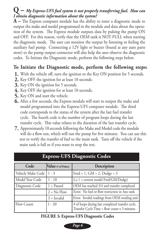### **Q –** *My Express-UFS fuel system is not properly transferring fuel. How can I obtain diagnostic information about the system?*

**A –** The Express computer module has the ability to enter a diagnostic mode to output the make and model programmed in the module and data about the operation of the system. The Express module outputs data by pulsing the pump ON and OFF. For this reason, verify that the OEM tank is NOT FULL when starting the diagnostic mode. The user can monitor the output by listening or feeling the auxiliary fuel pump. Connecting a 12V light or buzzer (found at any auto parts store) to the pump output connector will also help the user observe the diagnostic codes. To Initiate the Diagnostic mode, perform the following steps below.

### **To Initiate the Diagnostic mode, perform the following steps:**

- With the vehicle off, turn the ignition to the Key ON position for 5 seconds. **1.**
- **2.** Key OFF the ignition for at least 10 seconds.
- **3.** Key ON the ignition for 5 seconds.
- **4.** Key OFF the ignition for at least 10 seconds.
- **5.** Key ON and start the vehicle.
- After a few seconds, the Express module will start to output the make and **6.** model programmed into the Express-UFS computer module. The third code corresponds to the status of the system after the last fuel transfer cycle. The fourth code is the number of program loops during the last transfer cycle. This value relates to the duration of the last transfer cycle.
- Approximately 10 seconds following the Make and Model code the module **7.** will do a flow test, which will run the pump for five minutes. You can use this test to verify the transfer of fuel to the main tank. Turn off the vehicle if the main tank is full or if you want to stop the test.

| LAPICSS-UIS DIagnostic Coucs |                     |                                                                                                  |
|------------------------------|---------------------|--------------------------------------------------------------------------------------------------|
| Code                         | Value (# of Pulses) | Description                                                                                      |
| Vehicle Make Code            | $1 - 3$             | Ford = $1$ , GM = $2$ , Dodge = $3$                                                              |
| Model Year Code              | $1 - 10$            | $(i.e 1 = current model Ford/GM/Dodge)$                                                          |
| Diagnostic Code              | $1 =$ Passed        | OEM has reached 3/4 and transfer completed                                                       |
|                              | $2 = No Flow$       | Error. No fuel or flow restriction in Aux tank                                                   |
|                              | $3 = Invalid$       | Error. Invalid readings from OEM sending unit                                                    |
| Flow Count                   | $1 - 20$            | # of loops during last completed transfer cycle.<br>Transfer Cycle Time = flow count x 3 minutes |

#### **Express-UFS Diagnostic Codes**

#### **FIGURE 3: Express-UFS Diagnostic Codes**

*Page 6*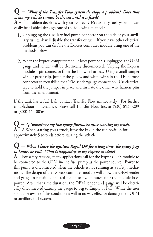### **Q –** *What if the Transfer Flow system develops a problem? Does that mean my vehicle cannot be driven until it is fixed?*

**A –** If a problem develops with your Express-UFS auxiliary fuel system, it can easily be disabled through one of the following methods:

- Unplugging the auxiliary fuel pump connector on the side of your auxil-**1.** iary fuel tank will disable the transfer of fuel. If you have other electrical problems you can disable the Express computer module using one of the methods below.
- When the Express computer module loses power or is unplugged, the OEM **2.** gauge and sender will be electrically disconnected. Unplug the Express module 5-pin connector from the TFI wire harness. Using a small jumper wire or paper clip, jumper the yellow and white wires in the TFI harness connector to reestablish the OEM sender/gauge connection. Use electrical tape to hold the jumper in place and insulate the other wire harness pins from the environment.

If the tank has a fuel leak, contact Transfer Flow immediately. For further troubleshooting assistance, please call Transfer Flow, Inc. at (530) 893-5209 or (800) 442-0056.

**Q –** *Q-Sometimes my fuel gauge fluctuates after starting my truck.* **A –** A-When starting you r truck, leave the key in the run position for approximately 5 seconds before starting the vehicle.

#### **Q –** *When I leave the ignition Keyed ON for a long time, the gauge pegs to Empty or Full. What is happening to my Express module?*

**A –** For safety reasons, many applications call for the Express-UFS module to be connected to the OEM in-line fuel pump as the power source. Power to this pump is disconnected when the vehicle is not running as a safety mechanism. The design of the Express computer module will allow the OEM sender and gauge to remain connected for up to five minutes after the module loses power. After that time duration, the OEM sender and gauge will be electrically disconnected causing the gauge to peg to Empty or Full. While the user should be aware of this condition it will in no way effect or damage their OEM or auxiliary fuel system.

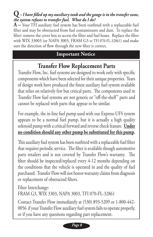## **Q** *– I have filled up my auxiliary tank and the gauge is in the transfer zone, the system refuses to transfer fuel. What do I do?*

**A –** Your TFI auxiliary fuel system has been outfitted with a replaceable fuel filter and may be obstructed from fuel contaminants and dust. To replace the filter: remove the cover box to access the filter and fuel hoses. Replace the filter with WIX 33003 (or NAPA 3003, FRAM G3 or TFI 070-FL-32861) and make sure the direction of flow through the new filter is correct.

# **Important Notice Important Notice**

# **Transfer Flow Replacement Parts**

Transfer Flow, Inc. fuel systems are designed to work only with specific components which have been selected for their unique properties. Years of design work have produced the finest auxiliary fuel system available that relies on relatively few but critical parts. The components used in Transfer Flow fuel systems are not generic or "off-the-shelf" parts and cannot be replaced with parts that appear to be similar.

For example, the in-line fuel pump used with our Express-UFS system appears to be a normal fuel pump, but it is actually a high quality solenoid pump with a critical forward and reverse check feature. **Under no condition should any other pump be substituted for this pump.**

This auxiliary fuel system has been outfitted with a replaceable fuel filter that requires periodic service. The filter is available though automotive parts retailers and is not covered by Transfer Flow's warranty. The filter should be inspected/replaced every 4-12 months depending on the conditions that the vehicle is operated in and the quality of fuel purchased. Transfer Flow will not honor warranty claims from diagnosis or replacement of obstructed filters.

Filter Interchange:

FRAM G3, WIX 3303, NAPA 3003, TFI 070-FL-32861

Contact Transfer Flow immediately at (530) 893-5209 or 1-800-442- 0056 if your Transfer Flow auxiliary fuel system fails to operate properly, or if you have any questions regarding part replacement.

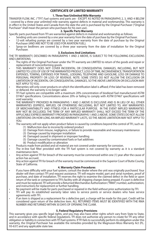#### **CERTIFICATE OF LIMITED WARRANTY**

#### **1. Three Year/Unlimited Mile Warranty**

TRANSFER FLOW, INC. ("TFI") fuel systems and parts are - EXCEPT AS NOTED IN PARAGRAPHS 2, 3, AND 4 BELOW - covered by a three year unlimited mile warranty against defects in material and workmanship. This warranty is in effect in the United States and Canada from the date the unit is purchased by the Original Purchaser ("Original Purchaser" shall mean the person who purchases for his own use).

#### **2. Specific Parts Warranty**

Specific parts purchased from TFI are warranted against defects in material and workmanship as follows:

- Sending units are covered by a one year warranty from the date of purchase by the Original Purchaser.
- 12-volt refueling pumps are covered by a two year warranty from the date of purchase by the Original Purchaser (AND ARE NOT TO BE USED FOR AVIATION FUEL).
- Spray-on bedliners are covered by a three year warranty from the date of installation for the Original Purchaser.

#### **3. Exclusions And Limitations**

THE TFI WARRANTY, DESCRIBED IN PARAGRAPHS 1 AND 2 ABOVE, IS SUBJECT TO THE FOLLOWING EXCLUSIONS AND LIMITATIONS:

- The rights of the Original Purchaser under the TFI warranty are LIMITED to return of the goods and repair or replacement of nonconforming goods.
- THIS WARRANTY DOES NOT COVER INCIDENTAL OR CONSEQUENTIAL DAMAGES, INCLUDING, BUT NOT LIMITED TO: LOSS OF USE OF THE WARRANTED PRODUCT, LOSS OF TIME, INCONVENIENCE, TRANSPORTATION EXPENSES, TOWING, EXPENSES FOR TRAVEL, LODGING, TELEPHONE AND GASOLINE, LOSS OR DAMAGE TO PERSONAL PROPERTY OR LOSS OF REVENUE. NOTE: SOME STATES DO NOT ALLOW THE EXCLUSION OR LIMITATION OF INCIDENTAL OR CONSEQUENTIAL DAMAGES, SO THE ABOVE LIMITATION OR EXCLUSION MAY NOT APPLY TO YOU.
- Warranties will only cover products on which the identification label is affixed; if the label has been removed or defaced, the warranty is no longer valid.
- TFI fuel systems are compatible with a maximum 20% concentration of biodiesel fuel manufactured ASTM D7467 specifications. Concentrations above 20% or failing to comply with ASTM D7467 specifications will void warranty.
- THE WARRANTY PROVIDED IN PARAGRAPHS 1 AND 2 ABOVE IS EXCLUSIVE AND IS IN LIEU OF ALL OTHER WARRANTIES (EXPRESS, IMPLIED, OR OTHERWISE) INCLUDING, BUT NOT LIMITED TO, ANY WARRANTIES OF MERCHANTABILITY AND FITNESS FOR A PARTICULAR PURPOSE. IN THE EVENT IMPLIED WARRANTIES MAY NOT BE EXCLUDED, THE TERM OF ANY IMPLIED WARRANTY SHALL NOT EXCEED THE TERM OF THE APPLICABLE EXPRESS WARRANTY PROVIDED IN PARAGRAPHS 1 AND 2 ABOVE. SOME STATES DO NOT ALLOW LIMITATIONS ON HOW LONG AN IMPLIED WARRANTY LASTS, SO THE ABOVE LIMITATION MAY NOT APPLY TO YOU.
- The warranty will not apply when product failure is caused by conditions beyond the control of TFI, such as: (1) Malfunction due to incorrectly ordered product
	- (2) Damage from misuse, negligence, or failure to provide reasonable and necessary maintenance
	- (3) Damage caused by improper installation
	- (4) Damaged caused in shipment or improper handling
	- (5) Damage caused by contaminated fuels or fuel additives
	- (6) Product modification or alteration
	- Products made from pickled and oil material are not covered under warranty for corrosion.
- The in-line fuel filter provided with the TFI fuel system is not covered by warranty as it is a standard maintenance item.
- Any action against TFI for breach of the warranty must be commenced within one (1) year after the cause of action has accrued.
- Any action against TFI for breach of the warranty must be commenced in the Superior Court of Butte County, State of California.

#### **4. Warranty Claim Procedures**

- If you have difficulty with your fuel system, consult the dealer where the unit was originally purchased. Your dealer will then contact TFI and request assistance. TFI will require model, part and serial numbers, proof of purchase, and date of installation. TFI reserves the right to examine the claimed defect in the field or upon return of the tank or component to TFI's facility with all shipping charges being prepaid. If a part is defective and must be replaced, TFI will provide a Returned Merchandise Authorization ("RMA") number, authorization, and instructions for replacement or further handling.
- No payment will be made for parts purchased or repaired in the field without prior authorization by TFI.
- TFI will pay its established warranty labor rates to service points or service dealers who have service agreements with TFI.
- If an item is shipped as a replacement for a defective part, a charge will be made for this part. Credit will be considered upon return of the defective item. ALL RETURNED ITEMS MUST BE IDENTIFIED WITH THE RMA NUMBER AND RETURNED WITHIN 30 DAYS OF OPENING THE CLAIM.

#### **5. Federal Regulatory Provisions**

This warranty gives you specific legal rights, and you may also have other rights which vary from State to State, and in accordance with specific federal regulations. TFI does not authorize any person to create for TFI any other obligation or liability in connection with TFI fuel systems. If TFI fails to successfully perform its obligation under this warranty, the Original Purchaser has available the remedies provided by the Magnuson-Moss Warranty Act (P.L. 93-637) and any applicable state law.